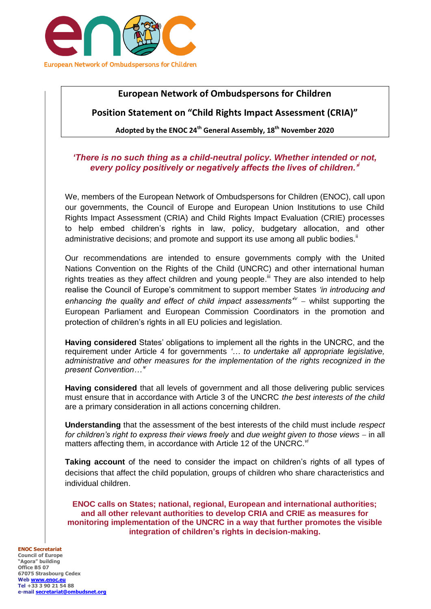

# **European Network of Ombudspersons for Children**

# **Position Statement on "Child Rights Impact Assessment (CRIA)"**

**Adopted by the ENOC 24th General Assembly, 18th November 2020**

## *'There is no such thing as a child-neutral policy. Whether intended or not, every policy positively or negatively affects the lives of children.'<sup>i</sup>*

We, members of the European Network of Ombudspersons for Children (ENOC), call upon our governments, the Council of Europe and European Union Institutions to use Child Rights Impact Assessment (CRIA) and Child Rights Impact Evaluation (CRIE) processes to help embed children's rights in law, policy, budgetary allocation, and other administrative decisions; and promote and support its use among all public bodies. $\mathbb{I}$ 

Our recommendations are intended to ensure governments comply with the United Nations Convention on the Rights of the Child (UNCRC) and other international human rights treaties as they affect children and young people.<sup>iii</sup> They are also intended to help realise the Council of Europe's commitment to support member States *'in introducing and*  enhancing the quality and effect of child impact assessments<sup>iv</sup> – whilst supporting the European Parliament and European Commission Coordinators in the promotion and protection of children's rights in all EU policies and legislation.

**Having considered** States' obligations to implement all the rights in the UNCRC, and the requirement under Article 4 for governments *'… to undertake all appropriate legislative, administrative and other measures for the implementation of the rights recognized in the present Convention…' v*

**Having considered** that all levels of government and all those delivering public services must ensure that in accordance with Article 3 of the UNCRC *the best interests of the child* are a primary consideration in all actions concerning children.

**Understanding** that the assessment of the best interests of the child must include *respect for children's right to express their views freely and due weight given to those views – in all* matters affecting them, in accordance with Article 12 of the UNCRC.<sup>vi</sup>

**Taking account** of the need to consider the impact on children's rights of all types of decisions that affect the child population, groups of children who share characteristics and individual children.

**ENOC calls on States; national, regional, European and international authorities; and all other relevant authorities to develop CRIA and CRIE as measures for monitoring implementation of the UNCRC in a way that further promotes the visible integration of children's rights in decision-making.**

#### **ENOC Secretariat Council of Europe**

**"Agora" building Office B5 07 67075 Strasbourg Cedex Web [www.enoc.eu](http://www.enoc.eu/) Tel +33 3 90 21 54 88 e-mail [secretariat@ombudsnet.org](mailto:secretariat@ombudsnet.org)**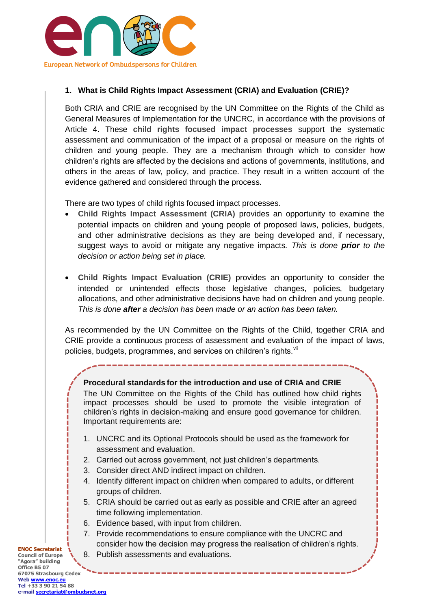

## **1. What is Child Rights Impact Assessment (CRIA) and Evaluation (CRIE)?**

Both CRIA and CRIE are recognised by the UN Committee on the Rights of the Child as General Measures of Implementation for the UNCRC, in accordance with the provisions of Article 4. These **child rights focused impact processes** support the systematic assessment and communication of the impact of a proposal or measure on the rights of children and young people. They are a mechanism through which to consider how children's rights are affected by the decisions and actions of governments, institutions, and others in the areas of law, policy, and practice. They result in a written account of the evidence gathered and considered through the process.

There are two types of child rights focused impact processes.

- **Child Rights Impact Assessment (CRIA)** provides an opportunity to examine the potential impacts on children and young people of proposed laws, policies, budgets, and other administrative decisions as they are being developed and, if necessary, suggest ways to avoid or mitigate any negative impacts. *This is done prior to the decision or action being set in place.*
- **Child Rights Impact Evaluation (CRIE)** provides an opportunity to consider the intended or unintended effects those legislative changes, policies, budgetary allocations, and other administrative decisions have had on children and young people. *This is done after a decision has been made or an action has been taken.*

As recommended by the UN Committee on the Rights of the Child, together CRIA and CRIE provide a continuous process of assessment and evaluation of the impact of laws, policies, budgets, programmes, and services on children's rights.

#### **Procedural standards for the introduction and use of CRIA and CRIE**

The UN Committee on the Rights of the Child has outlined how child rights impact processes should be used to promote the visible integration of children's rights in decision-making and ensure good governance for children. Important requirements are:

- 1. UNCRC and its Optional Protocols should be used as the framework for assessment and evaluation.
- 2. Carried out across government, not just children's departments.
- 3. Consider direct AND indirect impact on children.
- 4. Identify different impact on children when compared to adults, or different groups of children.
- 5. CRIA should be carried out as early as possible and CRIE after an agreed time following implementation.
- 6. Evidence based, with input from children.
- 7. Provide recommendations to ensure compliance with the UNCRC and consider how the decision may progress the realisation of children's rights.
- 8. Publish assessments and evaluations.

**Council of Europe "Agora" building Office B5 07 67075 Strasbourg Cedex Web [www.enoc.eu](http://www.enoc.eu/) Tel +33 3 90 21 54 88 e-mail [secretariat@ombudsnet.org](mailto:secretariat@ombudsnet.org)**

**ENOC Secretariat**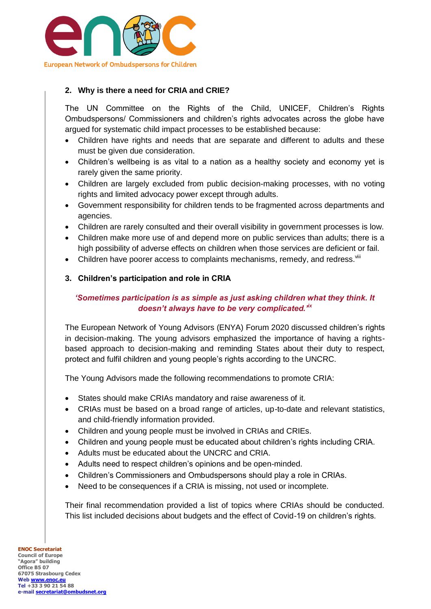

### **2. Why is there a need for CRIA and CRIE?**

The UN Committee on the Rights of the Child, UNICEF, Children's Rights Ombudspersons/ Commissioners and children's rights advocates across the globe have argued for systematic child impact processes to be established because:

- Children have rights and needs that are separate and different to adults and these must be given due consideration.
- Children's wellbeing is as vital to a nation as a healthy society and economy yet is rarely given the same priority.
- Children are largely excluded from public decision-making processes, with no voting rights and limited advocacy power except through adults.
- Government responsibility for children tends to be fragmented across departments and agencies.
- Children are rarely consulted and their overall visibility in government processes is low.
- Children make more use of and depend more on public services than adults; there is a high possibility of adverse effects on children when those services are deficient or fail.
- Children have poorer access to complaints mechanisms, remedy, and redress. Vili
- **3. Children's participation and role in CRIA**

#### *'Sometimes participation is as simple as just asking children what they think. It doesn't always have to be very complicated.'ix*

The European Network of Young Advisors (ENYA) Forum 2020 discussed children's rights in decision-making. The young advisors emphasized the importance of having a rightsbased approach to decision-making and reminding States about their duty to respect, protect and fulfil children and young people's rights according to the UNCRC.

The Young Advisors made the following recommendations to promote CRIA:

- States should make CRIAs mandatory and raise awareness of it.
- CRIAs must be based on a broad range of articles, up-to-date and relevant statistics, and child-friendly information provided.
- Children and young people must be involved in CRIAs and CRIEs.
- Children and young people must be educated about children's rights including CRIA.
- Adults must be educated about the UNCRC and CRIA.
- Adults need to respect children's opinions and be open-minded.
- Children's Commissioners and Ombudspersons should play a role in CRIAs.
- Need to be consequences if a CRIA is missing, not used or incomplete.

Their final recommendation provided a list of topics where CRIAs should be conducted. This list included decisions about budgets and the effect of Covid-19 on children's rights.

**ENOC Secretariat Council of Europe "Agora" building Office B5 07 67075 Strasbourg Cedex Web [www.enoc.eu](http://www.enoc.eu/) Tel +33 3 90 21 54 88 e-mail [secretariat@ombudsnet.org](mailto:secretariat@ombudsnet.org)**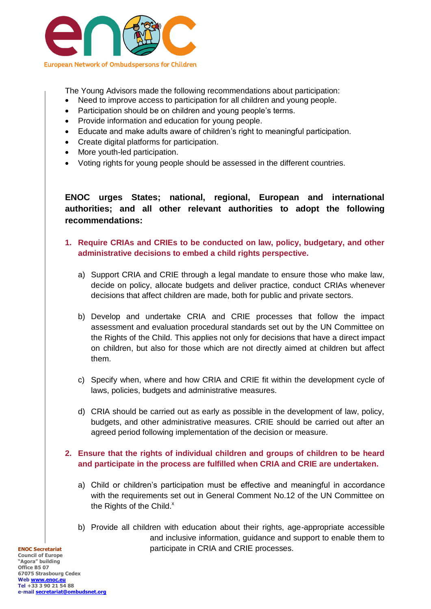

The Young Advisors made the following recommendations about participation:

- Need to improve access to participation for all children and young people.
- Participation should be on children and young people's terms.
- Provide information and education for young people.
- Educate and make adults aware of children's right to meaningful participation.
- Create digital platforms for participation.
- More youth-led participation.
- Voting rights for young people should be assessed in the different countries.

**ENOC urges States; national, regional, European and international authorities; and all other relevant authorities to adopt the following recommendations:**

- **1. Require CRIAs and CRIEs to be conducted on law, policy, budgetary, and other administrative decisions to embed a child rights perspective.**
	- a) Support CRIA and CRIE through a legal mandate to ensure those who make law, decide on policy, allocate budgets and deliver practice, conduct CRIAs whenever decisions that affect children are made, both for public and private sectors.
	- b) Develop and undertake CRIA and CRIE processes that follow the impact assessment and evaluation procedural standards set out by the UN Committee on the Rights of the Child. This applies not only for decisions that have a direct impact on children, but also for those which are not directly aimed at children but affect them.
	- c) Specify when, where and how CRIA and CRIE fit within the development cycle of laws, policies, budgets and administrative measures.
	- d) CRIA should be carried out as early as possible in the development of law, policy, budgets, and other administrative measures. CRIE should be carried out after an agreed period following implementation of the decision or measure.
- **2. Ensure that the rights of individual children and groups of children to be heard and participate in the process are fulfilled when CRIA and CRIE are undertaken.**
	- a) Child or children's participation must be effective and meaningful in accordance with the requirements set out in General Comment No.12 of the UN Committee on the Rights of the Child. $x$
	- b) Provide all children with education about their rights, age-appropriate accessible and inclusive information, guidance and support to enable them to participate in CRIA and CRIE processes.

**ENOC Secretariat Council of Europe "Agora" building Office B5 07 67075 Strasbourg Cedex Web [www.enoc.eu](http://www.enoc.eu/) Tel +33 3 90 21 54 88 e-mail [secretariat@ombudsnet.org](mailto:secretariat@ombudsnet.org)**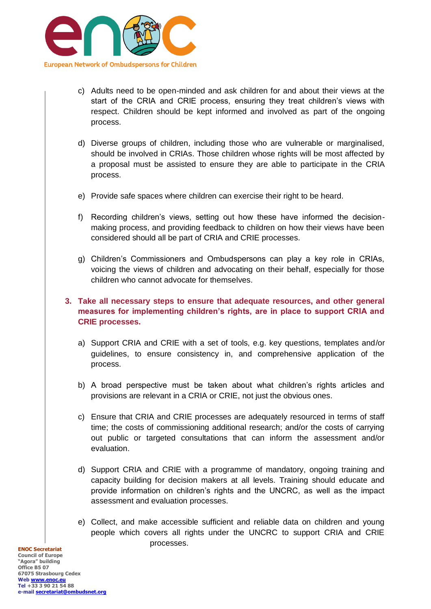

- c) Adults need to be open-minded and ask children for and about their views at the start of the CRIA and CRIE process, ensuring they treat children's views with respect. Children should be kept informed and involved as part of the ongoing process.
- d) Diverse groups of children, including those who are vulnerable or marginalised, should be involved in CRIAs. Those children whose rights will be most affected by a proposal must be assisted to ensure they are able to participate in the CRIA process.
- e) Provide safe spaces where children can exercise their right to be heard.
- f) Recording children's views, setting out how these have informed the decisionmaking process, and providing feedback to children on how their views have been considered should all be part of CRIA and CRIE processes.
- g) Children's Commissioners and Ombudspersons can play a key role in CRIAs, voicing the views of children and advocating on their behalf, especially for those children who cannot advocate for themselves.

## **3. Take all necessary steps to ensure that adequate resources, and other general measures for implementing children's rights, are in place to support CRIA and CRIE processes.**

- a) Support CRIA and CRIE with a set of tools, e.g. key questions, templates and/or guidelines, to ensure consistency in, and comprehensive application of the process.
- b) A broad perspective must be taken about what children's rights articles and provisions are relevant in a CRIA or CRIE, not just the obvious ones.
- c) Ensure that CRIA and CRIE processes are adequately resourced in terms of staff time; the costs of commissioning additional research; and/or the costs of carrying out public or targeted consultations that can inform the assessment and/or evaluation.
- d) Support CRIA and CRIE with a programme of mandatory, ongoing training and capacity building for decision makers at all levels. Training should educate and provide information on children's rights and the UNCRC, as well as the impact assessment and evaluation processes.
- e) Collect, and make accessible sufficient and reliable data on children and young people which covers all rights under the UNCRC to support CRIA and CRIE processes.

**ENOC Secretariat Council of Europe "Agora" building Office B5 07 67075 Strasbourg Cedex Web [www.enoc.eu](http://www.enoc.eu/) Tel +33 3 90 21 54 88 e-mail [secretariat@ombudsnet.org](mailto:secretariat@ombudsnet.org)**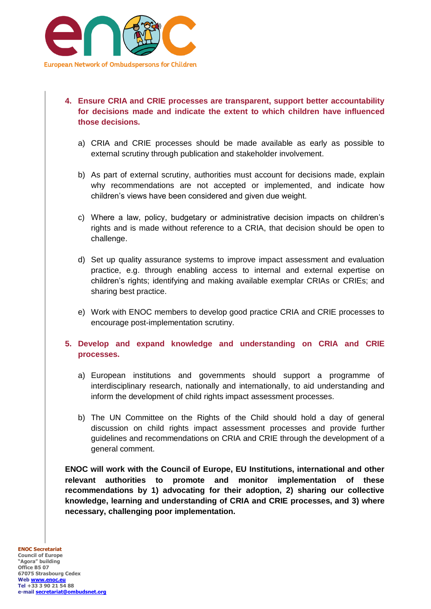

- **4. Ensure CRIA and CRIE processes are transparent, support better accountability for decisions made and indicate the extent to which children have influenced those decisions.** 
	- a) CRIA and CRIE processes should be made available as early as possible to external scrutiny through publication and stakeholder involvement.
	- b) As part of external scrutiny, authorities must account for decisions made, explain why recommendations are not accepted or implemented, and indicate how children's views have been considered and given due weight.
	- c) Where a law, policy, budgetary or administrative decision impacts on children's rights and is made without reference to a CRIA, that decision should be open to challenge.
	- d) Set up quality assurance systems to improve impact assessment and evaluation practice, e.g. through enabling access to internal and external expertise on children's rights; identifying and making available exemplar CRIAs or CRIEs; and sharing best practice.
	- e) Work with ENOC members to develop good practice CRIA and CRIE processes to encourage post-implementation scrutiny.
- **5. Develop and expand knowledge and understanding on CRIA and CRIE processes.** 
	- a) European institutions and governments should support a programme of interdisciplinary research, nationally and internationally, to aid understanding and inform the development of child rights impact assessment processes.
	- b) The UN Committee on the Rights of the Child should hold a day of general discussion on child rights impact assessment processes and provide further guidelines and recommendations on CRIA and CRIE through the development of a general comment.

**ENOC will work with the Council of Europe, EU Institutions, international and other relevant authorities to promote and monitor implementation of these recommendations by 1) advocating for their adoption, 2) sharing our collective knowledge, learning and understanding of CRIA and CRIE processes, and 3) where necessary, challenging poor implementation.**